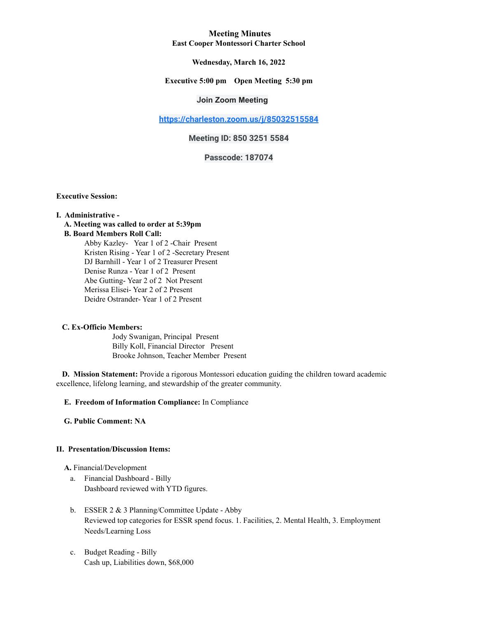## **Meeting Minutes East Cooper Montessori Charter School**

## **Wednesday, March 16, 2022**

### **Executive 5:00 pm Open Meeting 5:30 pm**

# **Join Zoom Meeting**

**<https://charleston.zoom.us/j/85032515584>**

# **Meeting ID: 850 3251 5584**

# **Passcode: 187074**

**Executive Session:**

#### **I. Administrative -**

#### **A. Meeting was called to order at 5:39pm B. Board Members Roll Call:**

Abby Kazley- Year 1 of 2 -Chair Present Kristen Rising - Year 1 of 2 -Secretary Present DJ Barnhill - Year 1 of 2 Treasurer Present Denise Runza - Year 1 of 2 Present Abe Gutting- Year 2 of 2 Not Present Merissa Elisei- Year 2 of 2 Present Deidre Ostrander- Year 1 of 2 Present

#### **C. Ex-Officio Members:**

Jody Swanigan, Principal Present Billy Koll, Financial Director Present Brooke Johnson, Teacher Member Present

**D. Mission Statement:** Provide a rigorous Montessori education guiding the children toward academic excellence, lifelong learning, and stewardship of the greater community.

### **E. Freedom of Information Compliance:** In Compliance

**G. Public Comment: NA**

#### **II. Presentation/Discussion Items:**

**A.** Financial/Development

- a. Financial Dashboard Billy Dashboard reviewed with YTD figures.
- b. ESSER 2 & 3 Planning/Committee Update Abby Reviewed top categories for ESSR spend focus. 1. Facilities, 2. Mental Health, 3. Employment Needs/Learning Loss
- c. Budget Reading Billy Cash up, Liabilities down, \$68,000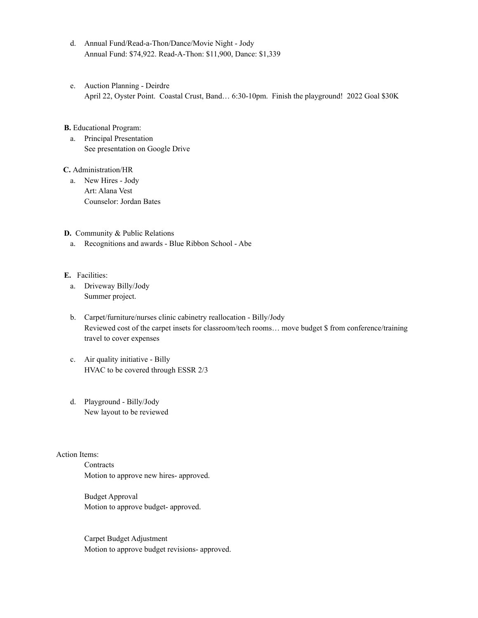- d. Annual Fund/Read-a-Thon/Dance/Movie Night Jody Annual Fund: \$74,922. Read-A-Thon: \$11,900, Dance: \$1,339
- e. Auction Planning Deirdre April 22, Oyster Point. Coastal Crust, Band… 6:30-10pm. Finish the playground! 2022 Goal \$30K
- **B.** Educational Program:
	- a. Principal Presentation See presentation on Google Drive

**C.** Administration/HR

a. New Hires - Jody Art: Alana Vest Counselor: Jordan Bates

**D.** Community & Public Relations

a. Recognitions and awards - Blue Ribbon School - Abe

### **E.** Facilities:

- a. Driveway Billy/Jody Summer project.
- b. Carpet/furniture/nurses clinic cabinetry reallocation Billy/Jody Reviewed cost of the carpet insets for classroom/tech rooms… move budget \$ from conference/training travel to cover expenses
- c. Air quality initiative Billy HVAC to be covered through ESSR 2/3
- d. Playground Billy/Jody New layout to be reviewed

### Action Items:

**Contracts** Motion to approve new hires- approved.

Budget Approval Motion to approve budget- approved.

Carpet Budget Adjustment Motion to approve budget revisions- approved.